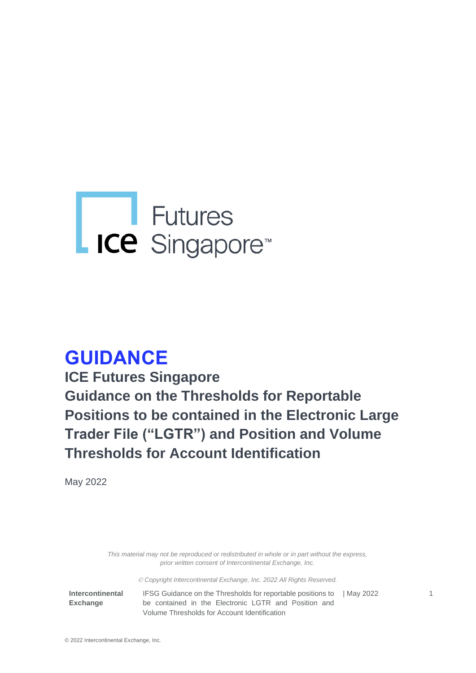# L ICe Singapore<sup>®</sup>

## **GUIDANCE**

**ICE Futures Singapore Guidance on the Thresholds for Reportable Positions to be contained in the Electronic Large Trader File ("LGTR") and Position and Volume Thresholds for Account Identification** 

May 2022

*This material may not be reproduced or redistributed in whole or in part without the express, prior written consent of Intercontinental Exchange, Inc.*

© *Copyright Intercontinental Exchange, Inc. 2022 All Rights Reserved.* 

**Intercontinental Exchange** 

IFSG Guidance on the Thresholds for reportable positions to | May 2022 1 be contained in the Electronic LGTR and Position and Volume Thresholds for Account Identification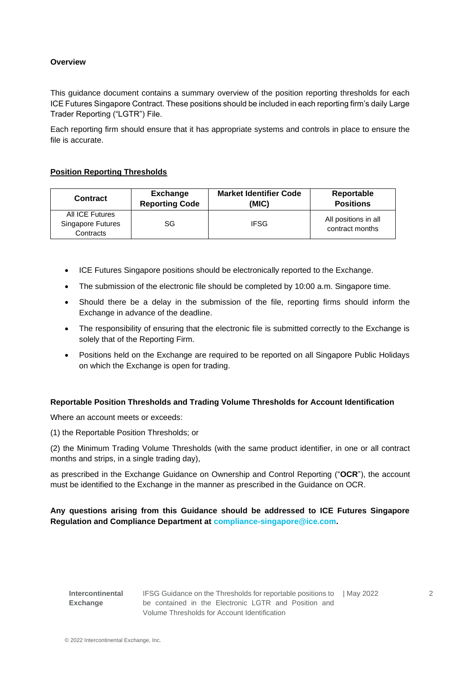#### **Overview**

This guidance document contains a summary overview of the position reporting thresholds for each ICE Futures Singapore Contract. These positions should be included in each reporting firm's daily Large Trader Reporting ("LGTR") File.

Each reporting firm should ensure that it has appropriate systems and controls in place to ensure the file is accurate.

#### **Position Reporting Thresholds**

| <b>Contract</b>                                   | Exchange              | <b>Market Identifier Code</b> | Reportable                              |
|---------------------------------------------------|-----------------------|-------------------------------|-----------------------------------------|
|                                                   | <b>Reporting Code</b> | (MIC)                         | <b>Positions</b>                        |
| All ICE Futures<br>Singapore Futures<br>Contracts | SG                    | <b>IFSG</b>                   | All positions in all<br>contract months |

- ICE Futures Singapore positions should be electronically reported to the Exchange.
- The submission of the electronic file should be completed by 10:00 a.m. Singapore time.
- Should there be a delay in the submission of the file, reporting firms should inform the Exchange in advance of the deadline.
- The responsibility of ensuring that the electronic file is submitted correctly to the Exchange is solely that of the Reporting Firm.
- Positions held on the Exchange are required to be reported on all Singapore Public Holidays on which the Exchange is open for trading.

#### **Reportable Position Thresholds and Trading Volume Thresholds for Account Identification**

Where an account meets or exceeds:

(1) the Reportable Position Thresholds; or

(2) the Minimum Trading Volume Thresholds (with the same product identifier, in one or all contract months and strips, in a single trading day),

as prescribed in the Exchange Guidance on Ownership and Control Reporting ("**OCR**"), the account must be identified to the Exchange in the manner as prescribed in the Guidance on OCR.

#### **Any questions arising from this Guidance should be addressed to ICE Futures Singapore Regulation and Compliance Department at [compliance-singapore@ice.com.](mailto:compliance-singapore@ice.com)**

**Intercontinental Exchange** 

IFSG Guidance on the Thresholds for reportable positions to | May 2022 2 be contained in the Electronic LGTR and Position and Volume Thresholds for Account Identification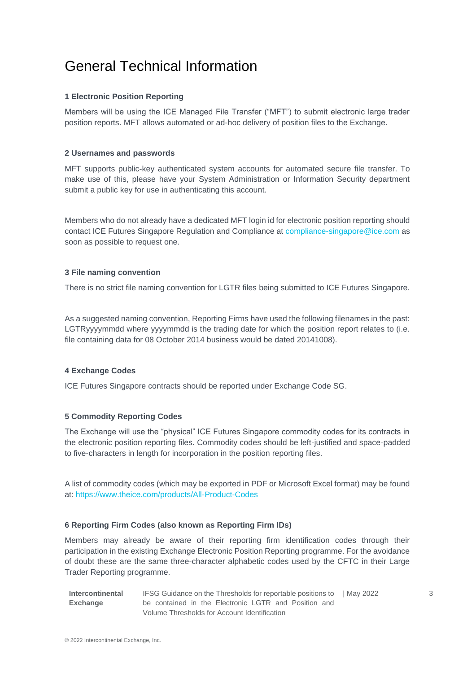## General Technical Information

#### **1 Electronic Position Reporting**

Members will be using the ICE Managed File Transfer ("MFT") to submit electronic large trader position reports. MFT allows automated or ad-hoc delivery of position files to the Exchange.

#### **2 Usernames and passwords**

MFT supports public-key authenticated system accounts for automated secure file transfer. To make use of this, please have your System Administration or Information Security department submit a public key for use in authenticating this account.

Members who do not already have a dedicated MFT login id for electronic position reporting should contact ICE Futures Singapore Regulation and Compliance at [compliance-singapore@ice.com](mailto:compliance-singapore@ice.com) as soon as possible to request one.

#### **3 File naming convention**

There is no strict file naming convention for LGTR files being submitted to ICE Futures Singapore.

As a suggested naming convention, Reporting Firms have used the following filenames in the past: LGTRyyyymmdd where yyyymmdd is the trading date for which the position report relates to (i.e. file containing data for 08 October 2014 business would be dated 20141008).

#### **4 Exchange Codes**

ICE Futures Singapore contracts should be reported under Exchange Code SG.

#### **5 Commodity Reporting Codes**

The Exchange will use the "physical" ICE Futures Singapore commodity codes for its contracts in the electronic position reporting files. Commodity codes should be left-justified and space-padded to five-characters in length for incorporation in the position reporting files.

A list of commodity codes (which may be exported in PDF or Microsoft Excel format) may be found at:<https://www.theice.com/products/All-Product-Codes>

#### **6 Reporting Firm Codes (also known as Reporting Firm IDs)**

Members may already be aware of their reporting firm identification codes through their participation in the existing Exchange Electronic Position Reporting programme. For the avoidance of doubt these are the same three-character alphabetic codes used by the CFTC in their Large Trader Reporting programme.

**Intercontinental Exchange**  IFSG Guidance on the Thresholds for reportable positions to | May 2022 3 be contained in the Electronic LGTR and Position and Volume Thresholds for Account Identification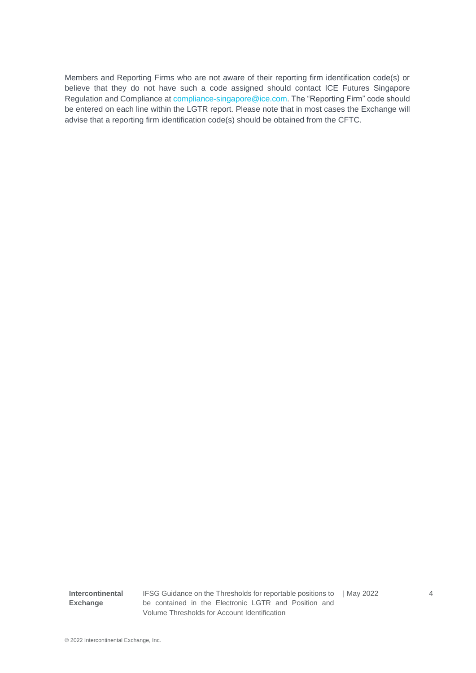Members and Reporting Firms who are not aware of their reporting firm identification code(s) or believe that they do not have such a code assigned should contact ICE Futures Singapore Regulation and Compliance a[t compliance-singapore@ice.com.](mailto:compliance-singapore@ice.com) The "Reporting Firm" code should be entered on each line within the LGTR report. Please note that in most cases the Exchange will advise that a reporting firm identification code(s) should be obtained from the CFTC.

**Intercontinental Exchange** 

IFSG Guidance on the Thresholds for reportable positions to | May 2022 4 be contained in the Electronic LGTR and Position and Volume Thresholds for Account Identification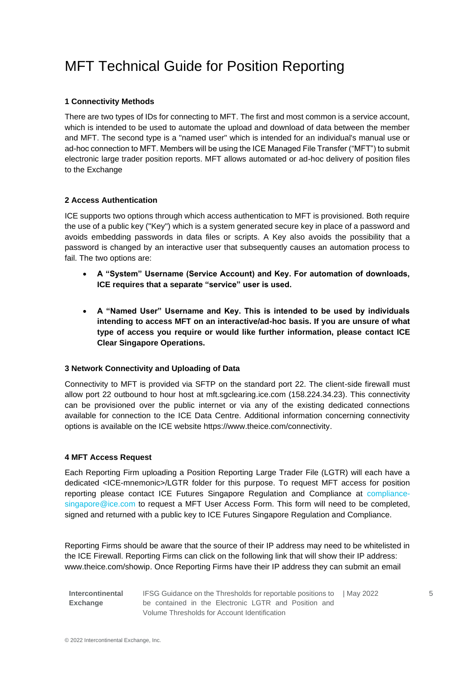## MFT Technical Guide for Position Reporting

#### **1 Connectivity Methods**

There are two types of IDs for connecting to MFT. The first and most common is a service account, which is intended to be used to automate the upload and download of data between the member and MFT. The second type is a "named user" which is intended for an individual's manual use or ad-hoc connection to MFT. Members will be using the ICE Managed File Transfer ("MFT") to submit electronic large trader position reports. MFT allows automated or ad-hoc delivery of position files to the Exchange

#### **2 Access Authentication**

ICE supports two options through which access authentication to MFT is provisioned. Both require the use of a public key ("Key") which is a system generated secure key in place of a password and avoids embedding passwords in data files or scripts. A Key also avoids the possibility that a password is changed by an interactive user that subsequently causes an automation process to fail. The two options are:

- **A "System" Username (Service Account) and Key. For automation of downloads, ICE requires that a separate "service" user is used.**
- **A "Named User" Username and Key. This is intended to be used by individuals intending to access MFT on an interactive/ad-hoc basis. If you are unsure of what type of access you require or would like further information, please contact ICE Clear Singapore Operations.**

#### **3 Network Connectivity and Uploading of Data**

Connectivity to MFT is provided via SFTP on the standard port 22. The client-side firewall must allow port 22 outbound to hour host at mft.sgclearing.ice.com (158.224.34.23). This connectivity can be provisioned over the public internet or via any of the existing dedicated connections available for connection to the ICE Data Centre. Additional information concerning connectivity options is available on the ICE website [https://www.theice.com/connectivity.](https://www.theice.com/connectivity)

#### **4 MFT Access Request**

Each Reporting Firm uploading a Position Reporting Large Trader File (LGTR) will each have a dedicated <ICE-mnemonic>/LGTR folder for this purpose. To request MFT access for position reporting please contact ICE Futures Singapore Regulation and Compliance at [compliance](mailto:compliance-singapore@ice.com)[singapore@ice.com](mailto:compliance-singapore@ice.com) to request a MFT User Access Form. This form will need to be completed, signed and returned with a public key to ICE Futures Singapore Regulation and Compliance.

Reporting Firms should be aware that the source of their IP address may need to be whitelisted in the ICE Firewall. Reporting Firms can click on the following link that will show their IP address: [www.theice.com/showip.](file://///cpex.com/sg_global/Compliance/For%20Website%20-%20Resources/OCR/www.theice.com/showip) Once Reporting Firms have their IP address they can submit an email

**Intercontinental Exchange**  IFSG Guidance on the Thresholds for reportable positions to | May 2022 55 be contained in the Electronic LGTR and Position and Volume Thresholds for Account Identification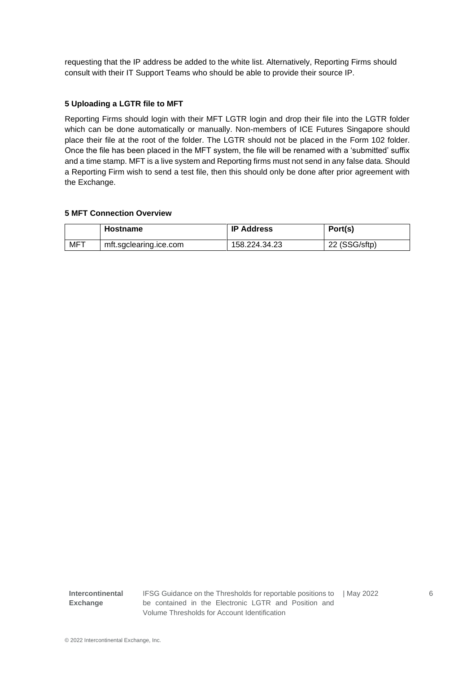requesting that the IP address be added to the white list. Alternatively, Reporting Firms should consult with their IT Support Teams who should be able to provide their source IP.

#### **5 Uploading a LGTR file to MFT**

Reporting Firms should login with their MFT LGTR login and drop their file into the LGTR folder which can be done automatically or manually. Non-members of ICE Futures Singapore should place their file at the root of the folder. The LGTR should not be placed in the Form 102 folder. Once the file has been placed in the MFT system, the file will be renamed with a 'submitted' suffix and a time stamp. MFT is a live system and Reporting firms must not send in any false data. Should a Reporting Firm wish to send a test file, then this should only be done after prior agreement with the Exchange.

#### **5 MFT Connection Overview**

|     | Hostname               | <b>IP Address</b> | Port(s)       |
|-----|------------------------|-------------------|---------------|
| MFT | mft.sgclearing.ice.com | 158.224.34.23     | 22 (SSG/sftp) |

**Intercontinental Exchange** 

IFSG Guidance on the Thresholds for reportable positions to be contained in the Electronic LGTR and Position and Volume Thresholds for Account Identification | May 2022 6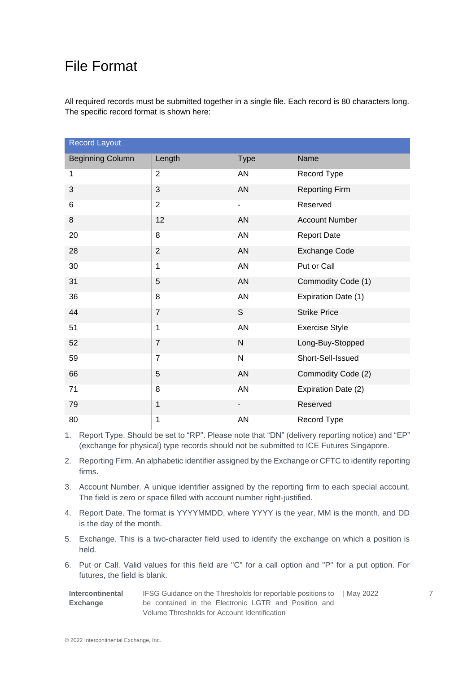### File Format

All required records must be submitted together in a single file. Each record is 80 characters long. The specific record format is shown here:

| <b>Record Layout</b>    |                |             |                       |  |
|-------------------------|----------------|-------------|-----------------------|--|
| <b>Beginning Column</b> | Length         | <b>Type</b> | Name                  |  |
| $\mathbf{1}$            | $\overline{2}$ | AN          | Record Type           |  |
| 3                       | 3              | AN          | <b>Reporting Firm</b> |  |
| 6                       | $\overline{2}$ | -           | Reserved              |  |
| 8                       | 12             | AN          | <b>Account Number</b> |  |
| 20                      | 8              | AN          | <b>Report Date</b>    |  |
| 28                      | $\overline{c}$ | AN          | Exchange Code         |  |
| 30                      | 1              | AN          | Put or Call           |  |
| 31                      | 5              | AN          | Commodity Code (1)    |  |
| 36                      | 8              | AN          | Expiration Date (1)   |  |
| 44                      | $\overline{7}$ | S           | <b>Strike Price</b>   |  |
| 51                      | $\mathbf{1}$   | AN          | <b>Exercise Style</b> |  |
| 52                      | $\overline{7}$ | ${\sf N}$   | Long-Buy-Stopped      |  |
| 59                      | $\overline{7}$ | N           | Short-Sell-Issued     |  |
| 66                      | 5              | AN          | Commodity Code (2)    |  |
| 71                      | 8              | AN          | Expiration Date (2)   |  |
| 79                      | 1              |             | Reserved              |  |
| 80                      | 1              | AN          | Record Type           |  |

1. Report Type. Should be set to "RP". Please note that "DN" (delivery reporting notice) and "EP" (exchange for physical) type records should not be submitted to ICE Futures Singapore.

2. Reporting Firm. An alphabetic identifier assigned by the Exchange or CFTC to identify reporting firms.

- 3. Account Number. A unique identifier assigned by the reporting firm to each special account. The field is zero or space filled with account number right-justified.
- 4. Report Date. The format is YYYYMMDD, where YYYY is the year, MM is the month, and DD is the day of the month.
- 5. Exchange. This is a two-character field used to identify the exchange on which a position is held.
- 6. Put or Call. Valid values for this field are "C" for a call option and "P" for a put option. For futures, the field is blank.

| <b>Intercontinental</b> | IFSG Guidance on the Thresholds for reportable positions to   May 2022 |  |
|-------------------------|------------------------------------------------------------------------|--|
| Exchange                | be contained in the Electronic LGTR and Position and                   |  |
|                         | Volume Thresholds for Account Identification                           |  |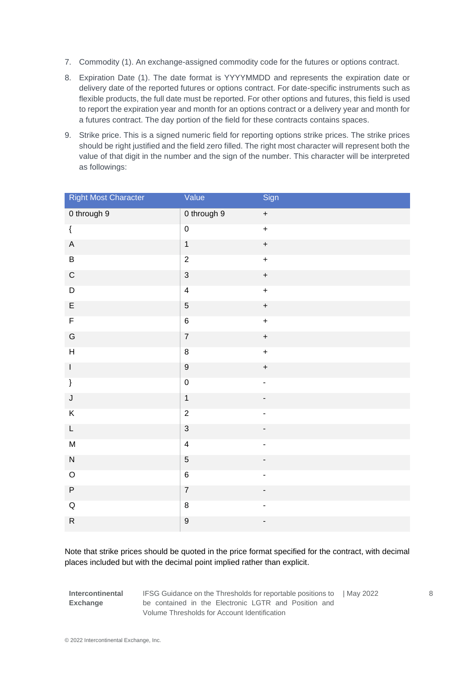- 7. Commodity (1). An exchange-assigned commodity code for the futures or options contract.
- 8. Expiration Date (1). The date format is YYYYMMDD and represents the expiration date or delivery date of the reported futures or options contract. For date-specific instruments such as flexible products, the full date must be reported. For other options and futures, this field is used to report the expiration year and month for an options contract or a delivery year and month for a futures contract. The day portion of the field for these contracts contains spaces.
- 9. Strike price. This is a signed numeric field for reporting options strike prices. The strike prices should be right justified and the field zero filled. The right most character will represent both the value of that digit in the number and the sign of the number. This character will be interpreted as followings:

| <b>Right Most Character</b> | Value                   | Sign                             |
|-----------------------------|-------------------------|----------------------------------|
| 0 through 9                 | 0 through 9             | $\ddot{}$                        |
| $\{$                        | $\mathbf 0$             | $\ddot{}$                        |
| $\mathsf A$                 | $\mathbf{1}$            | $\ddot{}$                        |
| $\sf B$                     | $\overline{2}$          | $\ddot{}$                        |
| ${\bf C}$                   | $\sqrt{3}$              | $\begin{array}{c} + \end{array}$ |
| $\mathsf D$                 | $\overline{\mathbf{4}}$ | $\ddot{}$                        |
| $\mathsf E$                 | $\sqrt{5}$              | $\ddot{}$                        |
| $\mathsf F$                 | $\,6$                   | $\ddot{}$                        |
| ${\mathsf G}$               | $\overline{7}$          | $\ddot{}$                        |
| $\boldsymbol{\mathsf{H}}$   | $\bf 8$                 | $\ddot{}$                        |
| $\mathsf I$                 | $\boldsymbol{9}$        | $\begin{array}{c} + \end{array}$ |
| $\}$                        | $\mathbf 0$             | $\overline{\phantom{0}}$         |
| J                           | $\mathbf{1}$            | $\blacksquare$                   |
| $\sf K$                     | $\overline{2}$          | $\frac{1}{2}$                    |
| L                           | $\sqrt{3}$              | $\overline{\phantom{0}}$         |
| ${\sf M}$                   | $\overline{\mathbf{4}}$ | $\frac{1}{2}$                    |
| ${\sf N}$                   | $\overline{5}$          | $\overline{\phantom{0}}$         |
| $\hbox{O}$                  | $\,6$                   | -                                |
| $\sf P$                     | $\boldsymbol{7}$        | $\overline{\phantom{0}}$         |
| $\mathsf Q$                 | $\bf 8$                 | $\overline{\phantom{0}}$         |
| ${\sf R}$                   | $\boldsymbol{9}$        | -                                |

Note that strike prices should be quoted in the price format specified for the contract, with decimal places included but with the decimal point implied rather than explicit.

**Intercontinental Exchange** 

IFSG Guidance on the Thresholds for reportable positions to be contained in the Electronic LGTR and Position and Volume Thresholds for Account Identification | May 2022 8